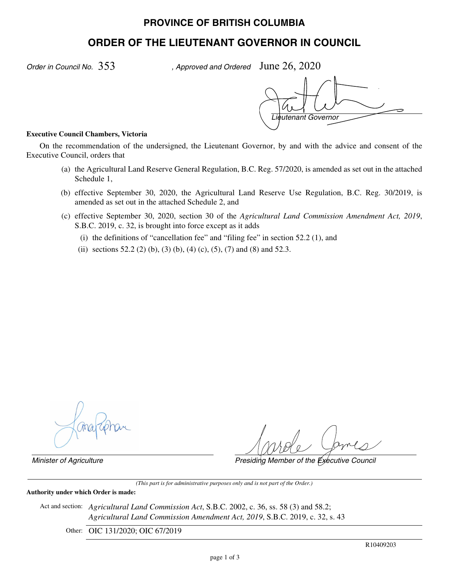# **PROVINCE OF BRITISH COLUMBIA**

# **ORDER OF THE LIEUTENANT GOVERNOR IN COUNCIL**

*Order in Council No.* 353

, Approved and Ordered June  $26, 2020$ 

*Lieutenant Governor*

#### **Executive Council Chambers, Victoria**

On the recommendation of the undersigned, the Lieutenant Governor, by and with the advice and consent of the Executive Council, orders that

- (a) the Agricultural Land Reserve General Regulation, B.C. Reg. 57/2020, is amended as set out in the attached Schedule 1,
- (b) effective September 30, 2020, the Agricultural Land Reserve Use Regulation, B.C. Reg. 30/2019, is amended as set out in the attached Schedule 2, and
- (c) effective September 30, 2020, section 30 of the *Agricultural Land Commission Amendment Act, 2019*, S.B.C. 2019, c. 32, is brought into force except as it adds
	- (i) the definitions of "cancellation fee" and "filing fee" in section 52.2 (1), and
	- (ii) sections 52.2 (2) (b), (3) (b), (4) (c), (5), (7) and (8) and 52.3.

*Minister of Agriculture Presiding Member of the Executive Council*

*(This part is for administrative purposes only and is not part of the Order.)*

**Authority under which Order is made:**

Act and section: *Agricultural Land Commission Act*, S.B.C. 2002, c. 36, ss. 58 (3) and 58.2; *Agricultural Land Commission Amendment Act, 2019*, S.B.C. 2019, c. 32, s. 43

Other: OIC 131/2020; OIC 67/2019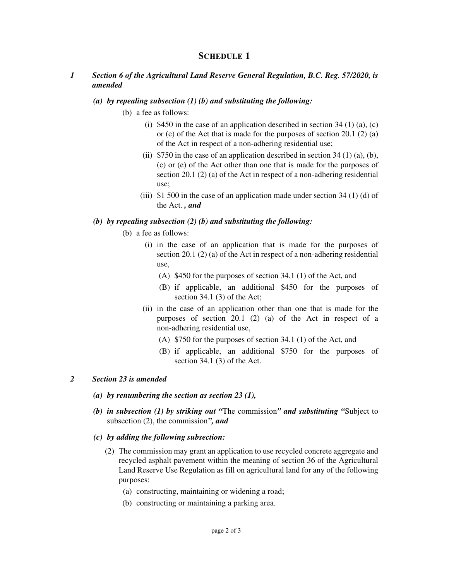## **SCHEDULE 1**

### *1 Section 6 of the Agricultural Land Reserve General Regulation, B.C. Reg. 57/2020, is amended*

#### *(a) by repealing subsection (1) (b) and substituting the following:*

- (b) a fee as follows:
	- (i) \$450 in the case of an application described in section 34 (1) (a), (c) or (e) of the Act that is made for the purposes of section 20.1 (2) (a) of the Act in respect of a non-adhering residential use;
	- (ii)  $$750$  in the case of an application described in section 34 (1) (a), (b), (c) or (e) of the Act other than one that is made for the purposes of section 20.1 (2) (a) of the Act in respect of a non-adhering residential use;
	- (iii)  $\frac{1}{2}$  500 in the case of an application made under section 34 (1) (d) of the Act. *, and*

#### *(b) by repealing subsection (2) (b) and substituting the following:*

- (b) a fee as follows:
	- (i) in the case of an application that is made for the purposes of section 20.1 (2) (a) of the Act in respect of a non-adhering residential use,
		- (A) \$450 for the purposes of section 34.1 (1) of the Act, and
		- (B) if applicable, an additional \$450 for the purposes of section 34.1 (3) of the Act;
	- (ii) in the case of an application other than one that is made for the purposes of section 20.1 (2) (a) of the Act in respect of a non-adhering residential use,
		- (A) \$750 for the purposes of section 34.1 (1) of the Act, and
		- (B) if applicable, an additional \$750 for the purposes of section 34.1 (3) of the Act.

### *2 Section 23 is amended*

- *(a) by renumbering the section as section 23 (1),*
- *(b) in subsection (1) by striking out "*The commission*" and substituting "*Subject to subsection (2), the commission*", and*
- *(c) by adding the following subsection:*
	- (2) The commission may grant an application to use recycled concrete aggregate and recycled asphalt pavement within the meaning of section 36 of the Agricultural Land Reserve Use Regulation as fill on agricultural land for any of the following purposes:
		- (a) constructing, maintaining or widening a road;
		- (b) constructing or maintaining a parking area.